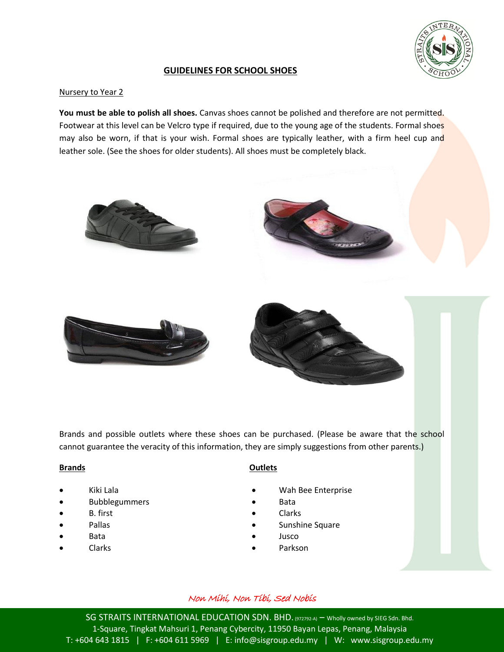

# **GUIDELINES FOR SCHOOL SHOES**

### Nursery to Year 2

**You must be able to polish all shoes.** Canvas shoes cannot be polished and therefore are not permitted. Footwear at this level can be Velcro type if required, due to the young age of the students. Formal shoes may also be worn, if that is your wish. Formal shoes are typically leather, with a firm heel cup and leather sole. (See the shoes for older students). All shoes must be completely black.



Brands and possible outlets where these shoes can be purchased. (Please be aware that the school cannot guarantee the veracity of this information, they are simply suggestions from other parents.)

#### **Brands**

- Kiki Lala
- Bubblegummers
- B. first
- Pallas
- Bata
- Clarks

### **Outlets**

- Wah Bee Enterprise
- Bata
- Clarks
- Sunshine Square
- Jusco
- Parkson

## Non Mihi, Non Tibi, Sed Nobis

SG STRAITS INTERNATIONAL EDUCATION SDN. BHD. (972792-A) – Wholly owned by SIEG Sdn. Bhd. 1-Square, Tingkat Mahsuri 1, Penang Cybercity, 11950 Bayan Lepas, Penang, Malaysia T: +604 643 1815 | F: +604 611 5969 | E: info@sisgroup.edu.my | W: www.sisgroup.edu.my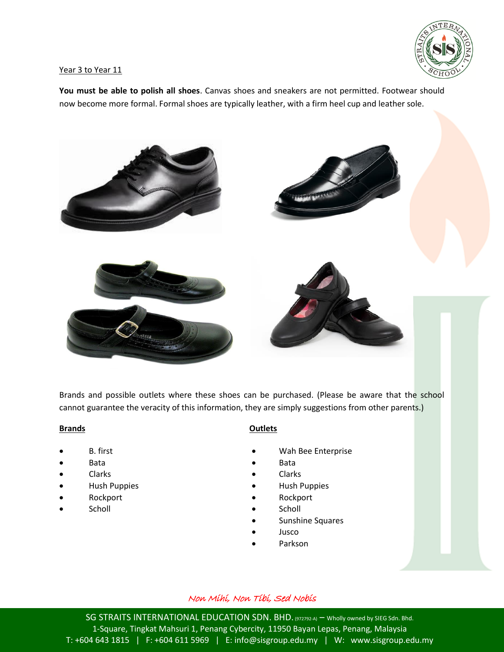

#### Year 3 to Year 11

**You must be able to polish all shoes**. Canvas shoes and sneakers are not permitted. Footwear should now become more formal. Formal shoes are typically leather, with a firm heel cup and leather sole.



Brands and possible outlets where these shoes can be purchased. (Please be aware that the school cannot guarantee the veracity of this information, they are simply suggestions from other parents.)

#### **Brands**

- B. first
- Bata
- Clarks
- **•** Hush Puppies
- Rockport
- **Scholl**

## **Outlets**

- Wah Bee Enterprise
- Bata
- Clarks
- Hush Puppies
- Rockport
- **Scholl**
- Sunshine Squares
- Jusco
- Parkson

## Non Mihi, Non Tibi, Sed Nobis